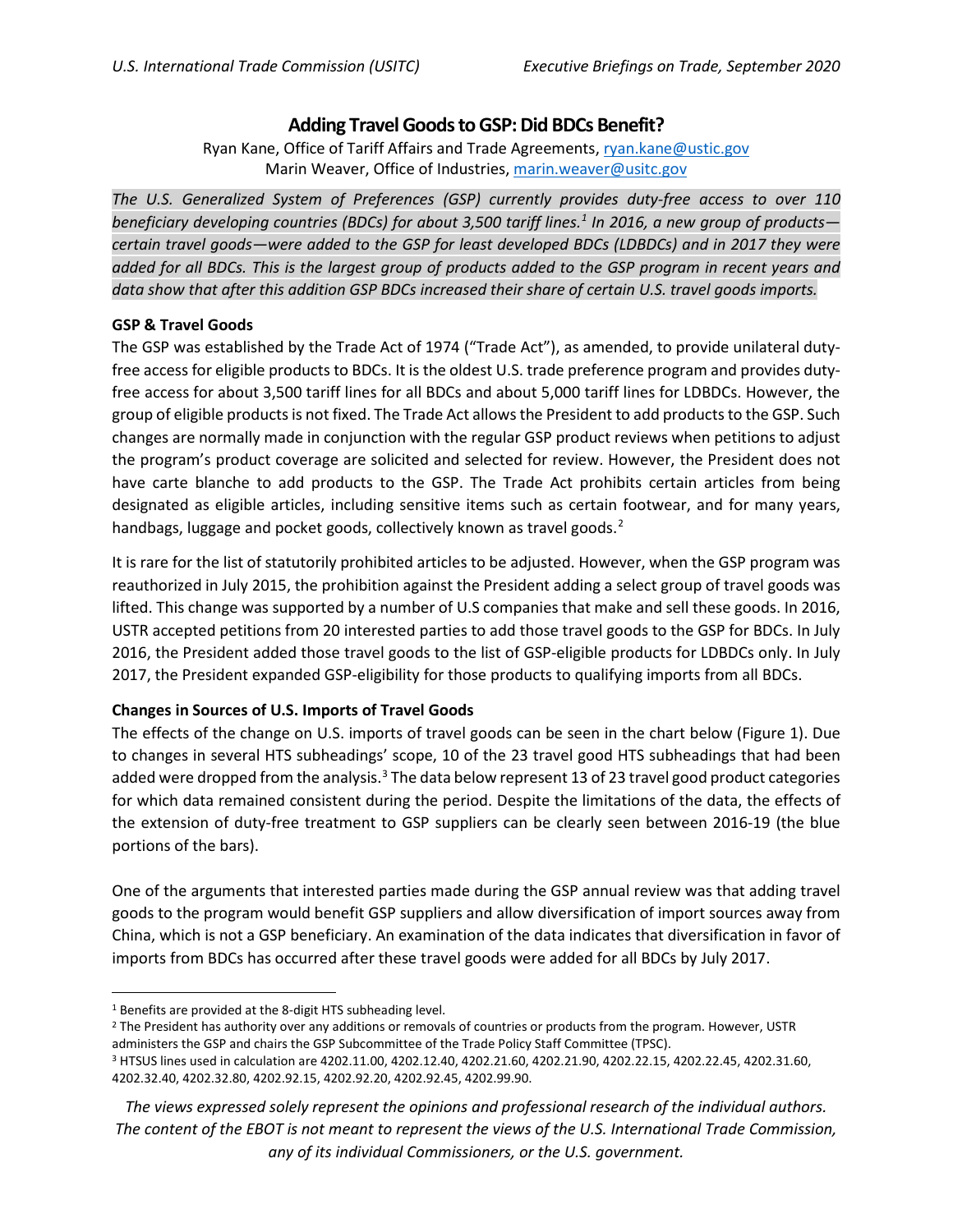## **Adding Travel Goodsto GSP: Did BDCs Benefit?**

Ryan Kane, Office of Tariff Affairs and Trade Agreements, [ryan.kane@ustic.gov](mailto:ryan.kane@ustic.gov) Marin Weaver, Office of Industries, [marin.weaver@usitc.gov](mailto:marin.weaver@usitc.gov)

*The U.S. Generalized System of Preferences (GSP) currently provides duty-free access to over 110 beneficiary developing countries (BDCs) for about 3,500 tariff lines.[1](#page-0-0) In 2016, a new group of products certain travel goods—were added to the GSP for least developed BDCs (LDBDCs) and in 2017 they were added for all BDCs. This is the largest group of products added to the GSP program in recent years and data show that after this addition GSP BDCs increased their share of certain U.S. travel goods imports.*

## **GSP & Travel Goods**

The GSP was established by the Trade Act of 1974 ("Trade Act"), as amended, to provide unilateral dutyfree access for eligible products to BDCs. It is the oldest U.S. trade preference program and provides dutyfree access for about 3,500 tariff lines for all BDCs and about 5,000 tariff lines for LDBDCs. However, the group of eligible products is not fixed. The Trade Act allows the President to add products to the GSP. Such changes are normally made in conjunction with the regular GSP product reviews when petitions to adjust the program's product coverage are solicited and selected for review. However, the President does not have carte blanche to add products to the GSP. The Trade Act prohibits certain articles from being designated as eligible articles, including sensitive items such as certain footwear, and for many years, handbags, luggage and pocket goods, collectively known as travel goods.<sup>[2](#page-0-1)</sup>

It is rare for the list of statutorily prohibited articles to be adjusted. However, when the GSP program was reauthorized in July 2015, the prohibition against the President adding a select group of travel goods was lifted. This change was supported by a number of U.S companies that make and sell these goods. In 2016, USTR accepted petitions from 20 interested parties to add those travel goods to the GSP for BDCs. In July 2016, the President added those travel goods to the list of GSP-eligible products for LDBDCs only. In July 2017, the President expanded GSP-eligibility for those products to qualifying imports from all BDCs.

## **Changes in Sources of U.S. Imports of Travel Goods**

The effects of the change on U.S. imports of travel goods can be seen in the chart below (Figure 1). Due to changes in several HTS subheadings' scope, 10 of the 23 travel good HTS subheadings that had been added were dropped from the analysis.<sup>[3](#page-0-2)</sup> The data below represent 13 of 23 travel good product categories for which data remained consistent during the period. Despite the limitations of the data, the effects of the extension of duty-free treatment to GSP suppliers can be clearly seen between 2016-19 (the blue portions of the bars).

One of the arguments that interested parties made during the GSP annual review was that adding travel goods to the program would benefit GSP suppliers and allow diversification of import sources away from China, which is not a GSP beneficiary. An examination of the data indicates that diversification in favor of imports from BDCs has occurred after these travel goods were added for all BDCs by July 2017.

*The views expressed solely represent the opinions and professional research of the individual authors. The content of the EBOT is not meant to represent the views of the U.S. International Trade Commission, any of its individual Commissioners, or the U.S. government.*

<span id="page-0-0"></span><sup>1</sup> Benefits are provided at the 8-digit HTS subheading level.

<span id="page-0-1"></span><sup>&</sup>lt;sup>2</sup> The President has authority over any additions or removals of countries or products from the program. However, USTR administers the GSP and chairs the GSP Subcommittee of the Trade Policy Staff Committee (TPSC).

<span id="page-0-2"></span><sup>3</sup> HTSUS lines used in calculation are 4202.11.00, 4202.12.40, 4202.21.60, 4202.21.90, 4202.22.15, 4202.22.45, 4202.31.60, 4202.32.40, 4202.32.80, 4202.92.15, 4202.92.20, 4202.92.45, 4202.99.90.